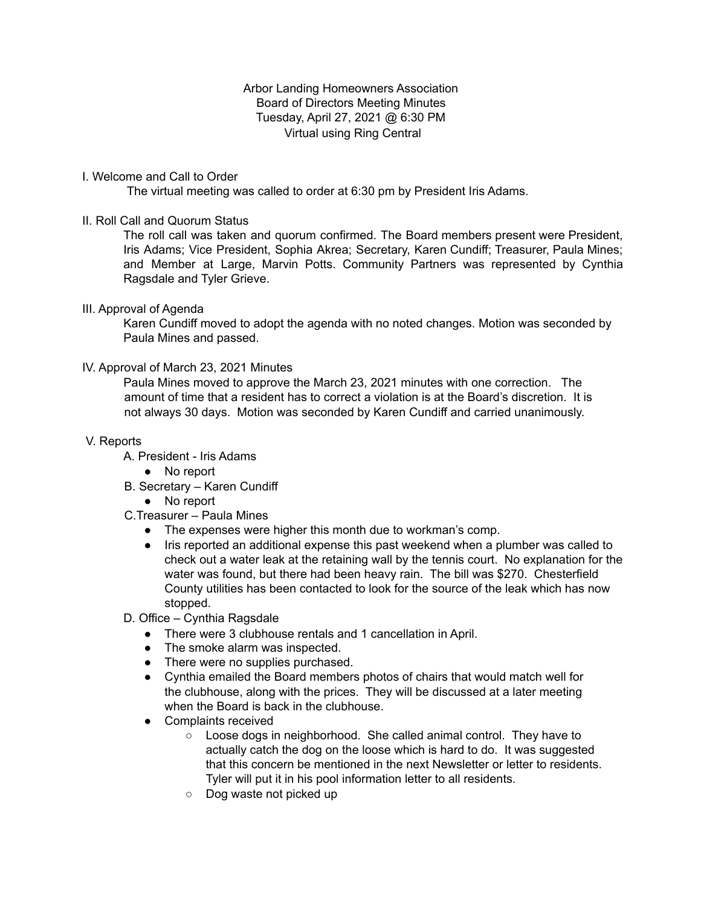Arbor Landing Homeowners Association Board of Directors Meeting Minutes Tuesday, April 27, 2021 @ 6:30 PM Virtual using Ring Central

#### I. Welcome and Call to Order

The virtual meeting was called to order at 6:30 pm by President Iris Adams.

#### II. Roll Call and Quorum Status

The roll call was taken and quorum confirmed. The Board members present were President, Iris Adams; Vice President, Sophia Akrea; Secretary, Karen Cundiff; Treasurer, Paula Mines; and Member at Large, Marvin Potts. Community Partners was represented by Cynthia Ragsdale and Tyler Grieve.

#### III. Approval of Agenda

Karen Cundiff moved to adopt the agenda with no noted changes. Motion was seconded by Paula Mines and passed.

#### IV. Approval of March 23, 2021 Minutes

Paula Mines moved to approve the March 23, 2021 minutes with one correction. The amount of time that a resident has to correct a violation is at the Board's discretion. It is not always 30 days. Motion was seconded by Karen Cundiff and carried unanimously.

#### V. Reports

- A. President Iris Adams
	- No report
- B. Secretary Karen Cundiff
	- No report
- C.Treasurer Paula Mines
	- The expenses were higher this month due to workman's comp.
	- Iris reported an additional expense this past weekend when a plumber was called to check out a water leak at the retaining wall by the tennis court. No explanation for the water was found, but there had been heavy rain. The bill was \$270. Chesterfield County utilities has been contacted to look for the source of the leak which has now stopped.

#### D. Office – Cynthia Ragsdale

- There were 3 clubhouse rentals and 1 cancellation in April.
- The smoke alarm was inspected.
- There were no supplies purchased.
- Cynthia emailed the Board members photos of chairs that would match well for the clubhouse, along with the prices. They will be discussed at a later meeting when the Board is back in the clubhouse.
- Complaints received
	- Loose dogs in neighborhood. She called animal control. They have to actually catch the dog on the loose which is hard to do. It was suggested that this concern be mentioned in the next Newsletter or letter to residents. Tyler will put it in his pool information letter to all residents.
	- Dog waste not picked up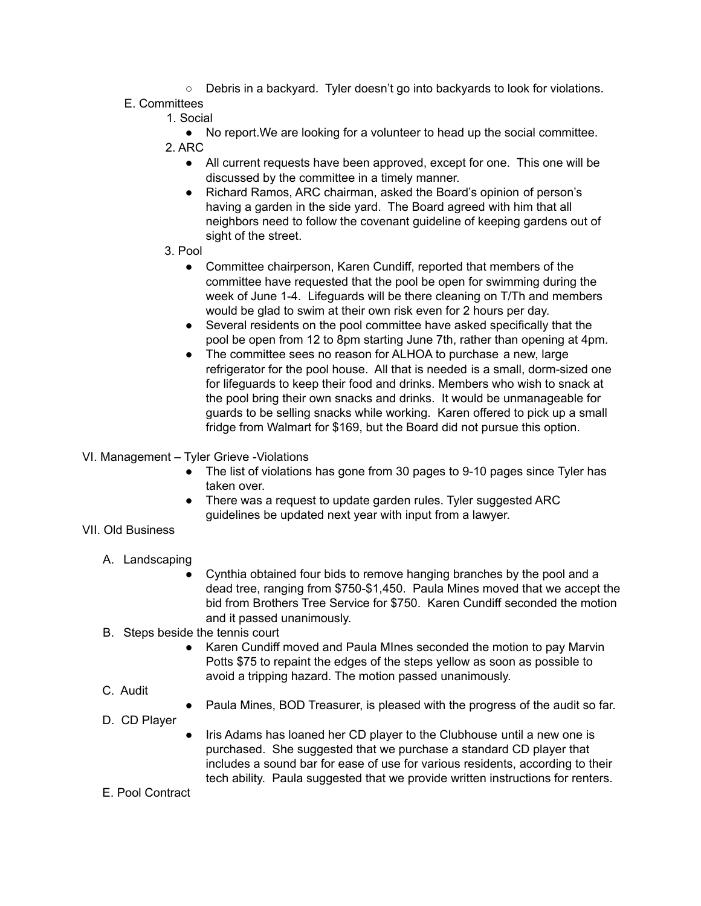○ Debris in a backyard. Tyler doesn't go into backyards to look for violations.

# E. Committees

1. Social

● No report.We are looking for a volunteer to head up the social committee. 2. ARC

- All current requests have been approved, except for one. This one will be discussed by the committee in a timely manner.
- Richard Ramos, ARC chairman, asked the Board's opinion of person's having a garden in the side yard. The Board agreed with him that all neighbors need to follow the covenant guideline of keeping gardens out of sight of the street.
- 3. Pool
	- Committee chairperson, Karen Cundiff, reported that members of the committee have requested that the pool be open for swimming during the week of June 1-4. Lifeguards will be there cleaning on T/Th and members would be glad to swim at their own risk even for 2 hours per day.
	- Several residents on the pool committee have asked specifically that the pool be open from 12 to 8pm starting June 7th, rather than opening at 4pm.
	- The committee sees no reason for ALHOA to purchase a new, large refrigerator for the pool house. All that is needed is a small, dorm-sized one for lifeguards to keep their food and drinks. Members who wish to snack at the pool bring their own snacks and drinks. It would be unmanageable for guards to be selling snacks while working. Karen offered to pick up a small fridge from Walmart for \$169, but the Board did not pursue this option.
- VI. Management Tyler Grieve -Violations
	- The list of violations has gone from 30 pages to 9-10 pages since Tyler has taken over.
	- There was a request to update garden rules. Tyler suggested ARC guidelines be updated next year with input from a lawyer.

VII. Old Business

- A. Landscaping
	- Cynthia obtained four bids to remove hanging branches by the pool and a dead tree, ranging from \$750-\$1,450. Paula Mines moved that we accept the bid from Brothers Tree Service for \$750. Karen Cundiff seconded the motion and it passed unanimously.
- B. Steps beside the tennis court
	- Karen Cundiff moved and Paula MInes seconded the motion to pay Marvin Potts \$75 to repaint the edges of the steps yellow as soon as possible to avoid a tripping hazard. The motion passed unanimously.
- C. Audit
- Paula Mines, BOD Treasurer, is pleased with the progress of the audit so far.
- D. CD Player
- Iris Adams has loaned her CD player to the Clubhouse until a new one is purchased. She suggested that we purchase a standard CD player that includes a sound bar for ease of use for various residents, according to their tech ability. Paula suggested that we provide written instructions for renters.
- E. Pool Contract